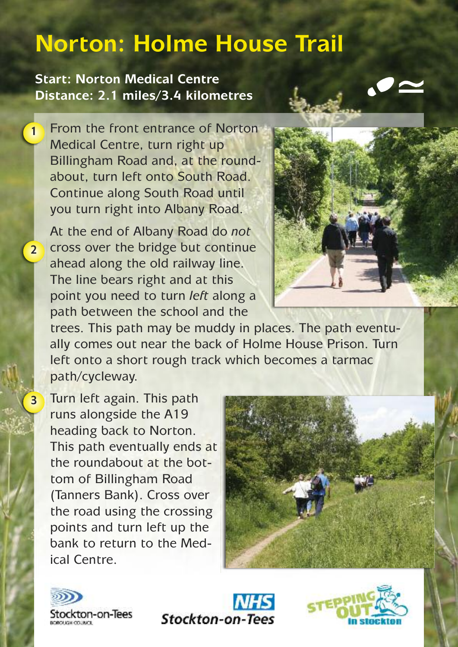## **Norton: Holme House Trail**

**Start: Norton Medical Centre Distance: 2.1 miles/3.4 kilometres**

**1**

**2**

**3**

From the front entrance of Norton Medical Centre, turn right up Billingham Road and, at the roundabout, turn left onto South Road. Continue along South Road until you turn right into Albany Road.

At the end of Albany Road do *not* cross over the bridge but continue ahead along the old railway line. The line bears right and at this point you need to turn *left* along a path between the school and the



trees. This path may be muddy in places. The path eventually comes out near the back of Holme House Prison. Turn left onto a short rough track which becomes a tarmac path/cycleway.

Turn left again. This path runs alongside the A19 heading back to Norton. This path eventually ends at the roundabout at the bottom of Billingham Road (Tanners Bank). Cross over the road using the crossing points and turn left up the bank to return to the Medical Centre.